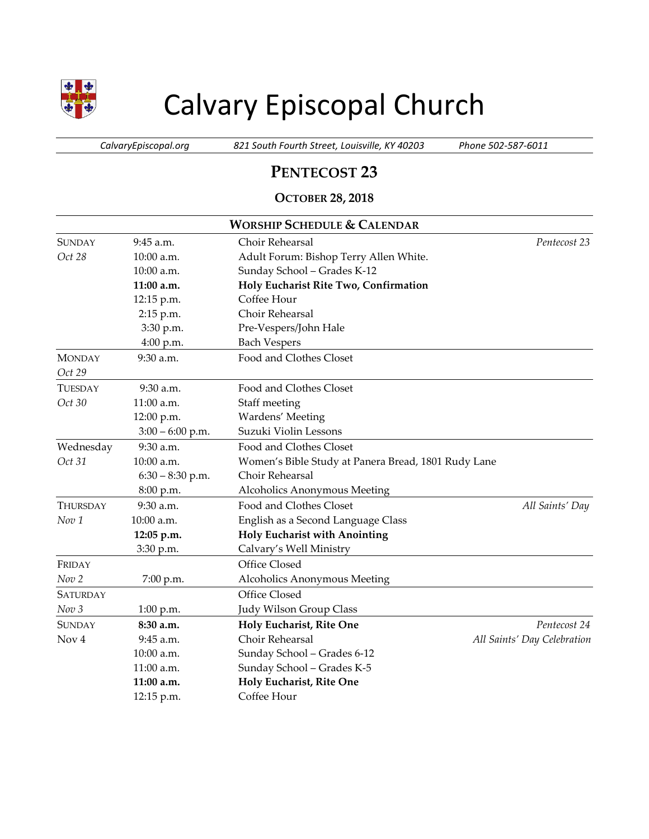

# Calvary Episcopal Church

*CalvaryEpiscopal.org 821 South Fourth Street, Louisville, KY 40203 Phone 502-587-6011*

## **PENTECOST 23**

### **OCTOBER 28, 2018**

| <b>WORSHIP SCHEDULE &amp; CALENDAR</b> |                    |                                                     |                             |  |
|----------------------------------------|--------------------|-----------------------------------------------------|-----------------------------|--|
| <b>SUNDAY</b>                          | 9:45 a.m.          | Choir Rehearsal                                     | Pentecost 23                |  |
| Oct 28                                 | 10:00 a.m.         | Adult Forum: Bishop Terry Allen White.              |                             |  |
|                                        | 10:00 a.m.         | Sunday School - Grades K-12                         |                             |  |
|                                        | 11:00 a.m.         | Holy Eucharist Rite Two, Confirmation               |                             |  |
|                                        | 12:15 p.m.         | Coffee Hour                                         |                             |  |
|                                        | 2:15 p.m.          | Choir Rehearsal                                     |                             |  |
|                                        | 3:30 p.m.          | Pre-Vespers/John Hale                               |                             |  |
|                                        | 4:00 p.m.          | <b>Bach Vespers</b>                                 |                             |  |
| <b>MONDAY</b>                          | 9:30 a.m.          | Food and Clothes Closet                             |                             |  |
| Oct 29                                 |                    |                                                     |                             |  |
| TUESDAY                                | 9:30 a.m.          | Food and Clothes Closet                             |                             |  |
| Oct 30                                 | 11:00 a.m.         | Staff meeting                                       |                             |  |
|                                        | 12:00 p.m.         | Wardens' Meeting                                    |                             |  |
|                                        | $3:00 - 6:00$ p.m. | Suzuki Violin Lessons                               |                             |  |
| Wednesday                              | 9:30 a.m.          | Food and Clothes Closet                             |                             |  |
| Oct 31                                 | 10:00 a.m.         | Women's Bible Study at Panera Bread, 1801 Rudy Lane |                             |  |
|                                        | $6:30 - 8:30$ p.m. | Choir Rehearsal                                     |                             |  |
|                                        | 8:00 p.m.          | Alcoholics Anonymous Meeting                        |                             |  |
| <b>THURSDAY</b>                        | 9:30 a.m.          | Food and Clothes Closet                             | All Saints' Day             |  |
| Nov <sub>1</sub>                       | 10:00 a.m.         | English as a Second Language Class                  |                             |  |
|                                        | 12:05 p.m.         | <b>Holy Eucharist with Anointing</b>                |                             |  |
|                                        | 3:30 p.m.          | Calvary's Well Ministry                             |                             |  |
| FRIDAY                                 |                    | Office Closed                                       |                             |  |
| Nov 2                                  | 7:00 p.m.          | Alcoholics Anonymous Meeting                        |                             |  |
| <b>SATURDAY</b>                        |                    | Office Closed                                       |                             |  |
| Nov <sub>3</sub>                       | $1:00$ p.m.        | Judy Wilson Group Class                             |                             |  |
| <b>SUNDAY</b>                          | 8:30 a.m.          | Holy Eucharist, Rite One                            | Pentecost 24                |  |
| Nov <sub>4</sub>                       | 9:45 a.m.          | Choir Rehearsal                                     | All Saints' Day Celebration |  |
|                                        | 10:00 a.m.         | Sunday School - Grades 6-12                         |                             |  |
|                                        | $11:00$ a.m.       | Sunday School - Grades K-5                          |                             |  |
|                                        | 11:00 a.m.         | Holy Eucharist, Rite One                            |                             |  |
|                                        | 12:15 p.m.         | Coffee Hour                                         |                             |  |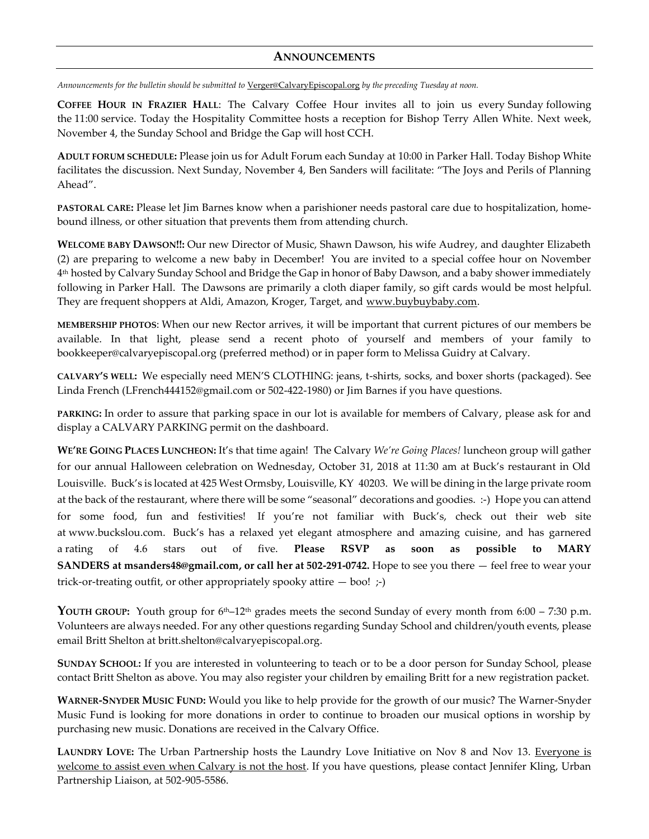#### **ANNOUNCEMENTS**

*Announcements for the bulletin should be submitted to* [Verger@CalvaryEpiscopal.org](mailto:Verger@CalvaryEpiscopal.org) *by the preceding Tuesday at noon.* 

**COFFEE HOUR IN FRAZIER HALL**: The Calvary Coffee Hour invites all to join us every Sunday following the 11:00 service. Today the Hospitality Committee hosts a reception for Bishop Terry Allen White. Next week, November 4, the Sunday School and Bridge the Gap will host CCH.

**ADULT FORUM SCHEDULE:** Please join us for Adult Forum each Sunday at 10:00 in Parker Hall. Today Bishop White facilitates the discussion. Next Sunday, November 4, Ben Sanders will facilitate: "The Joys and Perils of Planning Ahead".

**PASTORAL CARE:** Please let Jim Barnes know when a parishioner needs pastoral care due to hospitalization, homebound illness, or other situation that prevents them from attending church.

**WELCOME BABY DAWSON!!:** Our new Director of Music, Shawn Dawson, his wife Audrey, and daughter Elizabeth (2) are preparing to welcome a new baby in December! You are invited to a special coffee hour on November 4 th hosted by Calvary Sunday School and Bridge the Gap in honor of Baby Dawson, and a baby shower immediately following in Parker Hall. The Dawsons are primarily a cloth diaper family, so gift cards would be most helpful. They are frequent shoppers at Aldi, Amazon, Kroger, Target, and [www.buybuybaby.com.](http://www.buybuybaby.com/)

**MEMBERSHIP PHOTOS**: When our new Rector arrives, it will be important that current pictures of our members be available. In that light, please send a recent photo of yourself and members of your family to [bookkeeper@calvaryepiscopal.org](mailto:bookkeeper@calvaryepiscopal.org) (preferred method) or in paper form to Melissa Guidry at Calvary.

**CALVARY'S WELL:** We especially need MEN'S CLOTHING: jeans, t-shirts, socks, and boxer shorts (packaged). See Linda French [\(LFrench444152@gmail.com](mailto:LFrench444152@gmail.com) or 502-422-1980) or Jim Barnes if you have questions.

**PARKING:** In order to assure that parking space in our lot is available for members of Calvary, please ask for and display a CALVARY PARKING permit on the dashboard.

**WE'RE GOING PLACES LUNCHEON:** It's that time again! The Calvary *We're Going Places!* luncheon group will gather for our annual Halloween celebration on Wednesday, October 31, 2018 at 11:30 am at Buck's restaurant in Old Louisville. Buck's is located at 425 West Ormsby, Louisville, KY 40203. We will be dining in the large private room at the back of the restaurant, where there will be some "seasonal" decorations and goodies. :-) Hope you can attend for some food, fun and festivities! If you're not familiar with Buck's, check out their web site at [www.buckslou.com.](http://www.buckslou.com/) Buck's has a relaxed yet elegant atmosphere and amazing cuisine, and has garnered a rating of 4.6 stars out of five. **Please RSVP as soon as possible to MARY SANDERS at [msanders48@gmail.com,](mailto:msanders48@gmail.com) or call her at 502-291-0742.** Hope to see you there — feel free to wear your trick-or-treating outfit, or other appropriately spooky attire  $-$  boo!  $;$ -)

YOUTH GROUP: Youth group for 6<sup>th</sup>–12<sup>th</sup> grades meets the second Sunday of every month from 6:00 – 7:30 p.m. Volunteers are always needed. For any other questions regarding Sunday School and children/youth events, please email Britt Shelton at [britt.shelton@calvaryepiscopal.org.](mailto:britt.shelton@calvaryepiscopal.org)

**SUNDAY SCHOOL:** If you are interested in volunteering to teach or to be a door person for Sunday School, please contact Britt Shelton as above. You may also register your children by emailing Britt for a new registration packet.

**WARNER-SNYDER MUSIC FUND:** Would you like to help provide for the growth of our music? The Warner-Snyder Music Fund is looking for more donations in order to continue to broaden our musical options in worship by purchasing new music. Donations are received in the Calvary Office.

**LAUNDRY LOVE:** The Urban Partnership hosts the Laundry Love Initiative on Nov 8 and Nov 13. Everyone is welcome to assist even when Calvary is not the host. If you have questions, please contact Jennifer Kling, Urban Partnership Liaison, at 502-905-5586.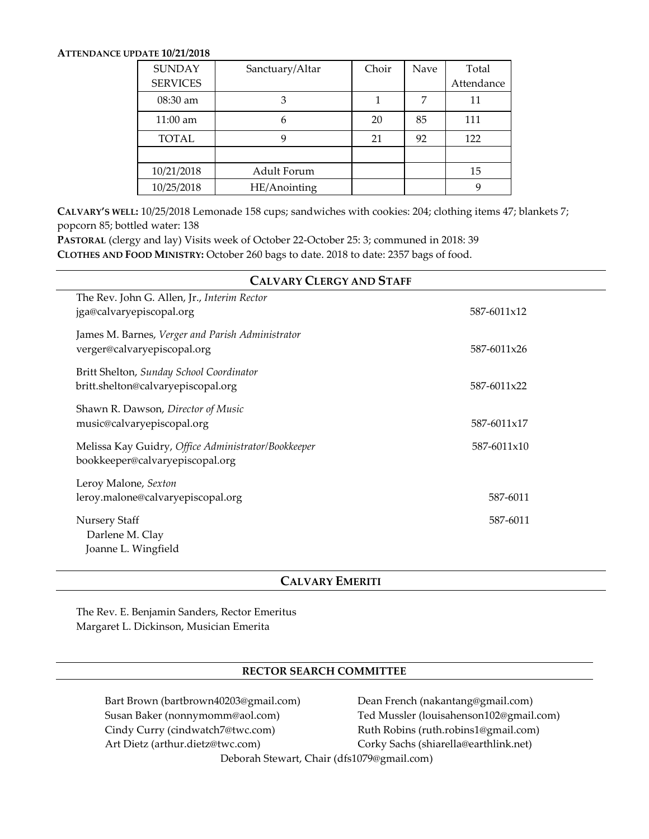#### **ATTENDANCE UPDATE 10/21/2018**

| <b>SUNDAY</b>      | Sanctuary/Altar | Choir | Nave | Total      |
|--------------------|-----------------|-------|------|------------|
| <b>SERVICES</b>    |                 |       |      | Attendance |
| 08:30 am           | 3               |       |      | 11         |
| $11:00 \text{ am}$ | 6               | 20    | 85   | 111        |
| TOTAL              | 9               | 21    | 92   | 122        |
|                    |                 |       |      |            |
| 10/21/2018         | Adult Forum     |       |      | 15         |
| 10/25/2018         | HE/Anointing    |       |      | 9          |

**CALVARY'S WELL:** 10/25/2018 Lemonade 158 cups; sandwiches with cookies: 204; clothing items 47; blankets 7; popcorn 85; bottled water: 138

**PASTORAL** (clergy and lay) Visits week of October 22-October 25: 3; communed in 2018: 39 **CLOTHES AND FOOD MINISTRY:** October 260 bags to date. 2018 to date: 2357 bags of food.

| <b>CALVARY CLERGY AND STAFF</b>                                                        |             |  |  |  |  |
|----------------------------------------------------------------------------------------|-------------|--|--|--|--|
| The Rev. John G. Allen, Jr., Interim Rector<br>jga@calvaryepiscopal.org                | 587-6011x12 |  |  |  |  |
| James M. Barnes, Verger and Parish Administrator<br>verger@calvaryepiscopal.org        | 587-6011x26 |  |  |  |  |
| Britt Shelton, Sunday School Coordinator<br>britt.shelton@calvaryepiscopal.org         | 587-6011x22 |  |  |  |  |
| Shawn R. Dawson, Director of Music<br>music@calvaryepiscopal.org                       | 587-6011x17 |  |  |  |  |
| Melissa Kay Guidry, Office Administrator/Bookkeeper<br>bookkeeper@calvaryepiscopal.org | 587-6011x10 |  |  |  |  |
| Leroy Malone, Sexton<br>leroy.malone@calvaryepiscopal.org                              | 587-6011    |  |  |  |  |
| <b>Nursery Staff</b><br>Darlene M. Clay<br>Joanne L. Wingfield                         | 587-6011    |  |  |  |  |

#### **CALVARY EMERITI**

The Rev. E. Benjamin Sanders, Rector Emeritus Margaret L. Dickinson, Musician Emerita

#### **RECTOR SEARCH COMMITTEE**

Bart Brown (bartbrown40203@gmail.com) Dean French (nakantang@gmail.com) Cindy Curry (cindwatch7@twc.com) Ruth Robins (ruth.robins1@gmail.com) Art Dietz (arthur.dietz@twc.com) Corky Sachs (shiarella@earthlink.net)

Susan Baker (nonnymomm@aol.com) Ted Mussler (louisahenson102@gmail.com)

Deborah Stewart, Chair [\(dfs1079@gmail.com\)](mailto:dfs1079@gmail.com)